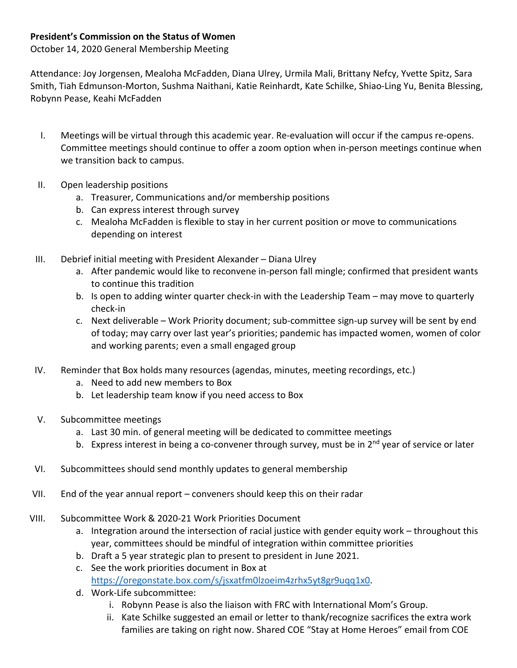## **President's Commission on the Status of Women**

October 14, 2020 General Membership Meeting

Attendance: Joy Jorgensen, Mealoha McFadden, Diana Ulrey, Urmila Mali, Brittany Nefcy, Yvette Spitz, Sara Smith, Tiah Edmunson-Morton, Sushma Naithani, Katie Reinhardt, Kate Schilke, Shiao-Ling Yu, Benita Blessing, Robynn Pease, Keahi McFadden

- I. Meetings will be virtual through this academic year. Re-evaluation will occur if the campus re-opens. Committee meetings should continue to offer a zoom option when in-person meetings continue when we transition back to campus.
- II. Open leadership positions
	- a. Treasurer, Communications and/or membership positions
	- b. Can express interest through survey
	- c. Mealoha McFadden is flexible to stay in her current position or move to communications depending on interest
- III. Debrief initial meeting with President Alexander Diana Ulrey
	- a. After pandemic would like to reconvene in-person fall mingle; confirmed that president wants to continue this tradition
	- b. Is open to adding winter quarter check-in with the Leadership Team may move to quarterly check-in
	- c. Next deliverable Work Priority document; sub-committee sign-up survey will be sent by end of today; may carry over last year's priorities; pandemic has impacted women, women of color and working parents; even a small engaged group
- IV. Reminder that Box holds many resources (agendas, minutes, meeting recordings, etc.)
	- a. Need to add new members to Box
	- b. Let leadership team know if you need access to Box
- V. Subcommittee meetings
	- a. Last 30 min. of general meeting will be dedicated to committee meetings
	- b. Express interest in being a co-convener through survey, must be in 2<sup>nd</sup> year of service or later
- VI. Subcommittees should send monthly updates to general membership
- VII. End of the year annual report conveners should keep this on their radar
- VIII. Subcommittee Work & 2020-21 Work Priorities Document
	- a. Integration around the intersection of racial justice with gender equity work throughout this year, committees should be mindful of integration within committee priorities
	- b. Draft a 5 year strategic plan to present to president in June 2021.
	- c. See the work priorities document in Box at [https://oregonstate.box.com/s/jsxatfm0lzoeim4zrhx5yt8gr9uqq1x0.](https://oregonstate.box.com/s/jsxatfm0lzoeim4zrhx5yt8gr9uqq1x0)
	- d. Work-Life subcommittee:
		- i. Robynn Pease is also the liaison with FRC with International Mom's Group.
		- ii. Kate Schilke suggested an email or letter to thank/recognize sacrifices the extra work families are taking on right now. Shared COE "Stay at Home Heroes" email from COE